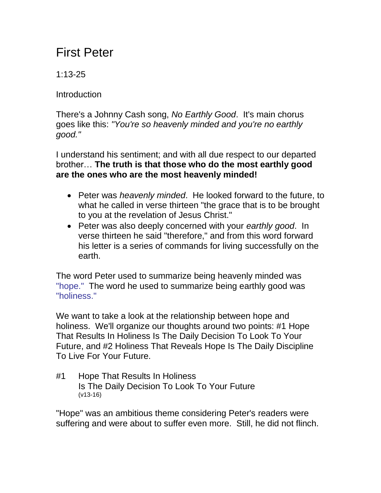## First Peter

1:13-25

**Introduction** 

There's a Johnny Cash song, *No Earthly Good*. It's main chorus goes like this: *"You're so heavenly minded and you're no earthly good."*

I understand his sentiment; and with all due respect to our departed brother… **The truth is that those who do the most earthly good are the ones who are the most heavenly minded!**

- Peter was *heavenly minded*. He looked forward to the future, to what he called in verse thirteen "the grace that is to be brought to you at the revelation of Jesus Christ."
- Peter was also deeply concerned with your *earthly good*. In verse thirteen he said "therefore," and from this word forward his letter is a series of commands for living successfully on the earth.

The word Peter used to summarize being heavenly minded was "hope." The word he used to summarize being earthly good was "holiness."

We want to take a look at the relationship between hope and holiness. We'll organize our thoughts around two points: #1 Hope That Results In Holiness Is The Daily Decision To Look To Your Future, and #2 Holiness That Reveals Hope Is The Daily Discipline To Live For Your Future.

#1 Hope That Results In Holiness Is The Daily Decision To Look To Your Future (v13-16)

"Hope" was an ambitious theme considering Peter's readers were suffering and were about to suffer even more. Still, he did not flinch.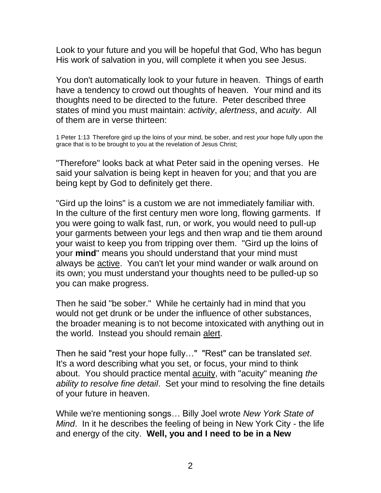Look to your future and you will be hopeful that God, Who has begun His work of salvation in you, will complete it when you see Jesus.

You don't automatically look to your future in heaven. Things of earth have a tendency to crowd out thoughts of heaven. Your mind and its thoughts need to be directed to the future. Peter described three states of mind you must maintain: *activity*, *alertness*, and *acuity*. All of them are in verse thirteen:

1 Peter 1:13 Therefore gird up the loins of your mind, be sober, and rest *your* hope fully upon the grace that is to be brought to you at the revelation of Jesus Christ;

"Therefore" looks back at what Peter said in the opening verses. He said your salvation is being kept in heaven for you; and that you are being kept by God to definitely get there.

"Gird up the loins" is a custom we are not immediately familiar with. In the culture of the first century men wore long, flowing garments. If you were going to walk fast, run, or work, you would need to pull-up your garments between your legs and then wrap and tie them around your waist to keep you from tripping over them. "Gird up the loins of your **mind**" means you should understand that your mind must always be active. You can't let your mind wander or walk around on its own; you must understand your thoughts need to be pulled-up so you can make progress.

Then he said "be sober." While he certainly had in mind that you would not get drunk or be under the influence of other substances, the broader meaning is to not become intoxicated with anything out in the world. Instead you should remain alert.

Then he said "rest your hope fully…" "Rest" can be translated *set*. It's a word describing what you set, or focus, your mind to think about. You should practice mental acuity, with "acuity" meaning *the ability to resolve fine detail*. Set your mind to resolving the fine details of your future in heaven.

While we're mentioning songs… Billy Joel wrote *New York State of Mind*. In it he describes the feeling of being in New York City - the life and energy of the city. **Well, you and I need to be in a New**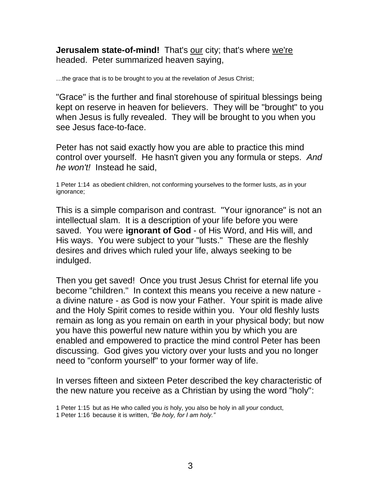**Jerusalem state-of-mind!** That's our city; that's where we're headed. Peter summarized heaven saying,

…the grace that is to be brought to you at the revelation of Jesus Christ;

"Grace" is the further and final storehouse of spiritual blessings being kept on reserve in heaven for believers. They will be "brought" to you when Jesus is fully revealed. They will be brought to you when you see Jesus face-to-face.

Peter has not said exactly how you are able to practice this mind control over yourself. He hasn't given you any formula or steps. *And he won't!* Instead he said,

1 Peter 1:14 as obedient children, not conforming yourselves to the former lusts, *as* in your ignorance;

This is a simple comparison and contrast. "Your ignorance" is not an intellectual slam. It is a description of your life before you were saved. You were **ignorant of God** - of His Word, and His will, and His ways. You were subject to your "lusts." These are the fleshly desires and drives which ruled your life, always seeking to be indulged.

Then you get saved! Once you trust Jesus Christ for eternal life you become "children." In context this means you receive a new nature a divine nature - as God is now your Father. Your spirit is made alive and the Holy Spirit comes to reside within you. Your old fleshly lusts remain as long as you remain on earth in your physical body; but now you have this powerful new nature within you by which you are enabled and empowered to practice the mind control Peter has been discussing. God gives you victory over your lusts and you no longer need to "conform yourself" to your former way of life.

In verses fifteen and sixteen Peter described the key characteristic of the new nature you receive as a Christian by using the word "holy":

<sup>1</sup> Peter 1:15 but as He who called you *is* holy, you also be holy in all *your* conduct,

<sup>1</sup> Peter 1:16 because it is written, *"Be holy, for I am holy."*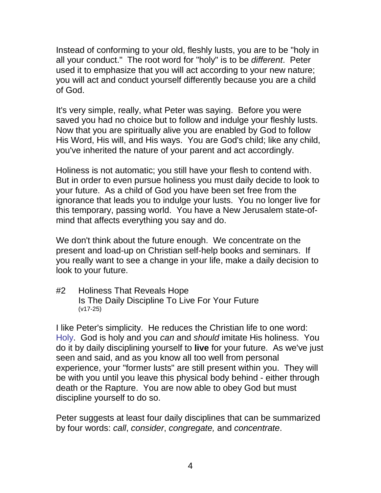Instead of conforming to your old, fleshly lusts, you are to be "holy in all your conduct." The root word for "holy" is to be *different*. Peter used it to emphasize that you will act according to your new nature; you will act and conduct yourself differently because you are a child of God.

It's very simple, really, what Peter was saying. Before you were saved you had no choice but to follow and indulge your fleshly lusts. Now that you are spiritually alive you are enabled by God to follow His Word, His will, and His ways. You are God's child; like any child, you've inherited the nature of your parent and act accordingly.

Holiness is not automatic; you still have your flesh to contend with. But in order to even pursue holiness you must daily decide to look to your future. As a child of God you have been set free from the ignorance that leads you to indulge your lusts. You no longer live for this temporary, passing world. You have a New Jerusalem state-ofmind that affects everything you say and do.

We don't think about the future enough. We concentrate on the present and load-up on Christian self-help books and seminars. If you really want to see a change in your life, make a daily decision to look to your future.

#2 Holiness That Reveals Hope Is The Daily Discipline To Live For Your Future (v17-25)

I like Peter's simplicity. He reduces the Christian life to one word: Holy. God is holy and you *can* and *should* imitate His holiness. You do it by daily disciplining yourself to **live** for your future. As we've just seen and said, and as you know all too well from personal experience, your "former lusts" are still present within you. They will be with you until you leave this physical body behind - either through death or the Rapture. You are now able to obey God but must discipline yourself to do so.

Peter suggests at least four daily disciplines that can be summarized by four words: *call*, *consider*, *congregate,* and *concentrate*.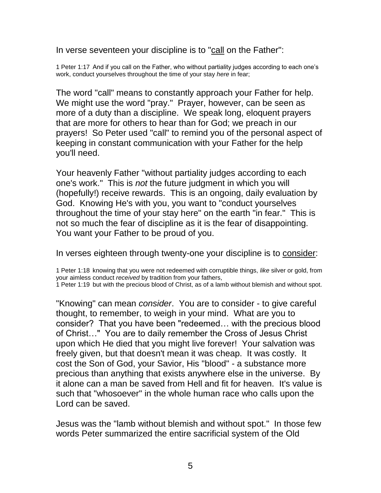In verse seventeen your discipline is to "call on the Father":

1 Peter 1:17 And if you call on the Father, who without partiality judges according to each one's work, conduct yourselves throughout the time of your stay *here* in fear;

The word "call" means to constantly approach your Father for help. We might use the word "pray." Prayer, however, can be seen as more of a duty than a discipline. We speak long, eloquent prayers that are more for others to hear than for God; we preach in our prayers! So Peter used "call" to remind you of the personal aspect of keeping in constant communication with your Father for the help you'll need.

Your heavenly Father "without partiality judges according to each one's work." This is *not* the future judgment in which you will (hopefully!) receive rewards. This is an ongoing, daily evaluation by God. Knowing He's with you, you want to "conduct yourselves throughout the time of your stay here" on the earth "in fear." This is not so much the fear of discipline as it is the fear of disappointing. You want your Father to be proud of you.

In verses eighteen through twenty-one your discipline is to consider:

1 Peter 1:18 knowing that you were not redeemed with corruptible things, *like* silver or gold, from your aimless conduct *received* by tradition from your fathers,

1 Peter 1:19 but with the precious blood of Christ, as of a lamb without blemish and without spot.

"Knowing" can mean *consider*. You are to consider - to give careful thought, to remember, to weigh in your mind. What are you to consider? That you have been "redeemed… with the precious blood of Christ…" You are to daily remember the Cross of Jesus Christ upon which He died that you might live forever! Your salvation was freely given, but that doesn't mean it was cheap. It was costly. It cost the Son of God, your Savior, His "blood" - a substance more precious than anything that exists anywhere else in the universe. By it alone can a man be saved from Hell and fit for heaven. It's value is such that "whosoever" in the whole human race who calls upon the Lord can be saved.

Jesus was the "lamb without blemish and without spot." In those few words Peter summarized the entire sacrificial system of the Old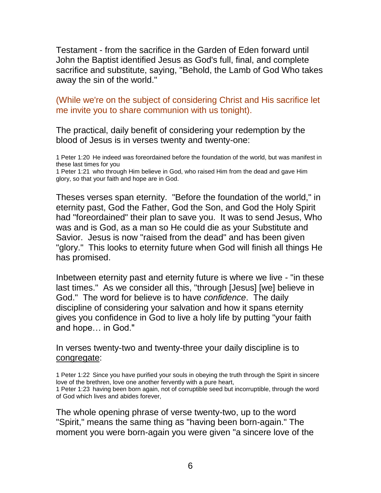Testament - from the sacrifice in the Garden of Eden forward until John the Baptist identified Jesus as God's full, final, and complete sacrifice and substitute, saying, "Behold, the Lamb of God Who takes away the sin of the world."

(While we're on the subject of considering Christ and His sacrifice let me invite you to share communion with us tonight).

The practical, daily benefit of considering your redemption by the blood of Jesus is in verses twenty and twenty-one:

1 Peter 1:20 He indeed was foreordained before the foundation of the world, but was manifest in these last times for you

1 Peter 1:21 who through Him believe in God, who raised Him from the dead and gave Him glory, so that your faith and hope are in God.

Theses verses span eternity. "Before the foundation of the world," in eternity past, God the Father, God the Son, and God the Holy Spirit had "foreordained" their plan to save you. It was to send Jesus, Who was and is God, as a man so He could die as your Substitute and Savior. Jesus is now "raised from the dead" and has been given "glory." This looks to eternity future when God will finish all things He has promised.

Inbetween eternity past and eternity future is where we live - "in these last times." As we consider all this, "through [Jesus] [we] believe in God." The word for believe is to have *confidence*. The daily discipline of considering your salvation and how it spans eternity gives you confidence in God to live a holy life by putting "your faith and hope… in God."

In verses twenty-two and twenty-three your daily discipline is to congregate:

1 Peter 1:22 Since you have purified your souls in obeying the truth through the Spirit in sincere love of the brethren, love one another fervently with a pure heart, 1 Peter 1:23 having been born again, not of corruptible seed but incorruptible, through the word of God which lives and abides forever,

The whole opening phrase of verse twenty-two, up to the word "Spirit," means the same thing as "having been born-again." The moment you were born-again you were given "a sincere love of the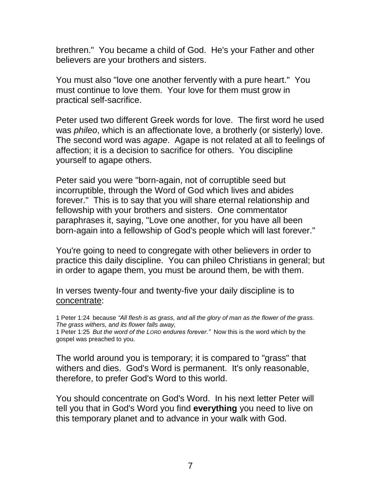brethren." You became a child of God. He's your Father and other believers are your brothers and sisters.

You must also "love one another fervently with a pure heart." You must continue to love them. Your love for them must grow in practical self-sacrifice.

Peter used two different Greek words for love. The first word he used was *phileo*, which is an affectionate love, a brotherly (or sisterly) love. The second word was *agape*. Agape is not related at all to feelings of affection; it is a decision to sacrifice for others. You discipline yourself to agape others.

Peter said you were "born-again, not of corruptible seed but incorruptible, through the Word of God which lives and abides forever." This is to say that you will share eternal relationship and fellowship with your brothers and sisters. One commentator paraphrases it, saying, "Love one another, for you have all been born-again into a fellowship of God's people which will last forever."

You're going to need to congregate with other believers in order to practice this daily discipline. You can phileo Christians in general; but in order to agape them, you must be around them, be with them.

In verses twenty-four and twenty-five your daily discipline is to concentrate:

1 Peter 1:24 because *"All flesh is as grass,* a*nd all the glory of man as the flower of the grass. The grass withers,* a*nd its flower falls away,*

The world around you is temporary; it is compared to "grass" that withers and dies. God's Word is permanent. It's only reasonable, therefore, to prefer God's Word to this world.

You should concentrate on God's Word. In his next letter Peter will tell you that in God's Word you find **everything** you need to live on this temporary planet and to advance in your walk with God.

<sup>1</sup> Peter 1:25 *But the word of the LORD endures forever."* Now this is the word which by the gospel was preached to you.